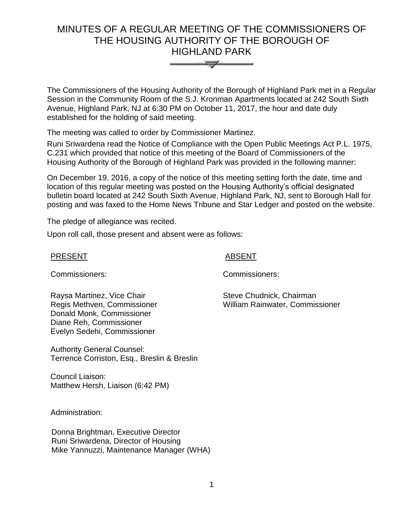# MINUTES OF A REGULAR MEETING OF THE COMMISSIONERS OF THE HOUSING AUTHORITY OF THE BOROUGH OF HIGHLAND PARK



The Commissioners of the Housing Authority of the Borough of Highland Park met in a Regular Session in the Community Room of the S.J. Kronman Apartments located at 242 South Sixth Avenue, Highland Park, NJ at 6:30 PM on October 11, 2017, the hour and date duly established for the holding of said meeting.

The meeting was called to order by Commissioner Martinez.

Runi Sriwardena read the Notice of Compliance with the Open Public Meetings Act P.L. 1975, C.231 which provided that notice of this meeting of the Board of Commissioners of the Housing Authority of the Borough of Highland Park was provided in the following manner:

On December 19, 2016, a copy of the notice of this meeting setting forth the date, time and location of this regular meeting was posted on the Housing Authority's official designated bulletin board located at 242 South Sixth Avenue, Highland Park, NJ, sent to Borough Hall for posting and was faxed to the Home News Tribune and Star Ledger and posted on the website.

The pledge of allegiance was recited.

Upon roll call, those present and absent were as follows:

## PRESENT ABSENT

Commissioners: Commissioners:

Raysa Martinez, Vice Chair Regis Methven, Commissioner Donald Monk, Commissioner Diane Reh, Commissioner Evelyn Sedehi, Commissioner

Authority General Counsel: Terrence Corriston, Esq., Breslin & Breslin

Council Liaison: Matthew Hersh, Liaison (6:42 PM)

Administration:

 Donna Brightman, Executive Director Runi Sriwardena, Director of Housing Mike Yannuzzi, Maintenance Manager (WHA) Steve Chudnick, Chairman

William Rainwater, Commissioner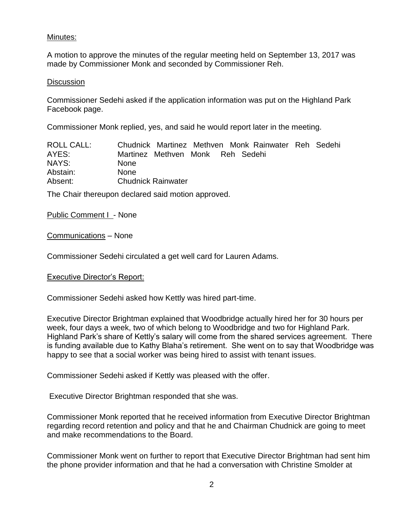# Minutes:

A motion to approve the minutes of the regular meeting held on September 13, 2017 was made by Commissioner Monk and seconded by Commissioner Reh.

#### **Discussion**

Commissioner Sedehi asked if the application information was put on the Highland Park Facebook page.

Commissioner Monk replied, yes, and said he would report later in the meeting.

| <b>ROLL CALL:</b> | Chudnick Martinez Methyen Monk Rainwater Reh Sedehi |
|-------------------|-----------------------------------------------------|
| AYES:             | Martinez Methven Monk Reh Sedehi                    |
| NAYS:             | <b>None</b>                                         |
| Abstain:          | <b>None</b>                                         |
| Absent:           | <b>Chudnick Rainwater</b>                           |

The Chair thereupon declared said motion approved.

#### Public Comment I - None

Communications – None

Commissioner Sedehi circulated a get well card for Lauren Adams.

#### Executive Director's Report:

Commissioner Sedehi asked how Kettly was hired part-time.

Executive Director Brightman explained that Woodbridge actually hired her for 30 hours per week, four days a week, two of which belong to Woodbridge and two for Highland Park. Highland Park's share of Kettly's salary will come from the shared services agreement. There is funding available due to Kathy Blaha's retirement. She went on to say that Woodbridge was happy to see that a social worker was being hired to assist with tenant issues.

Commissioner Sedehi asked if Kettly was pleased with the offer.

Executive Director Brightman responded that she was.

Commissioner Monk reported that he received information from Executive Director Brightman regarding record retention and policy and that he and Chairman Chudnick are going to meet and make recommendations to the Board.

Commissioner Monk went on further to report that Executive Director Brightman had sent him the phone provider information and that he had a conversation with Christine Smolder at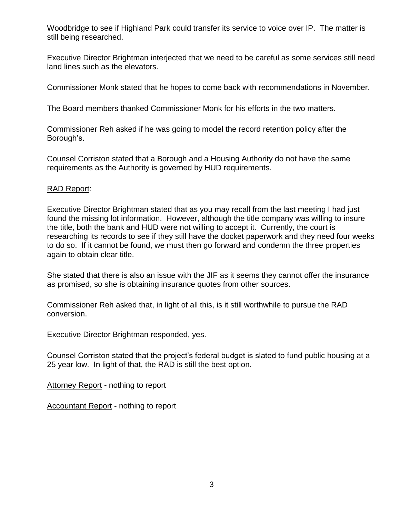Woodbridge to see if Highland Park could transfer its service to voice over IP. The matter is still being researched.

Executive Director Brightman interjected that we need to be careful as some services still need land lines such as the elevators.

Commissioner Monk stated that he hopes to come back with recommendations in November.

The Board members thanked Commissioner Monk for his efforts in the two matters.

Commissioner Reh asked if he was going to model the record retention policy after the Borough's.

Counsel Corriston stated that a Borough and a Housing Authority do not have the same requirements as the Authority is governed by HUD requirements.

# RAD Report:

Executive Director Brightman stated that as you may recall from the last meeting I had just found the missing lot information. However, although the title company was willing to insure the title, both the bank and HUD were not willing to accept it. Currently, the court is researching its records to see if they still have the docket paperwork and they need four weeks to do so. If it cannot be found, we must then go forward and condemn the three properties again to obtain clear title.

She stated that there is also an issue with the JIF as it seems they cannot offer the insurance as promised, so she is obtaining insurance quotes from other sources.

Commissioner Reh asked that, in light of all this, is it still worthwhile to pursue the RAD conversion.

Executive Director Brightman responded, yes.

Counsel Corriston stated that the project's federal budget is slated to fund public housing at a 25 year low. In light of that, the RAD is still the best option.

Attorney Report - nothing to report

Accountant Report - nothing to report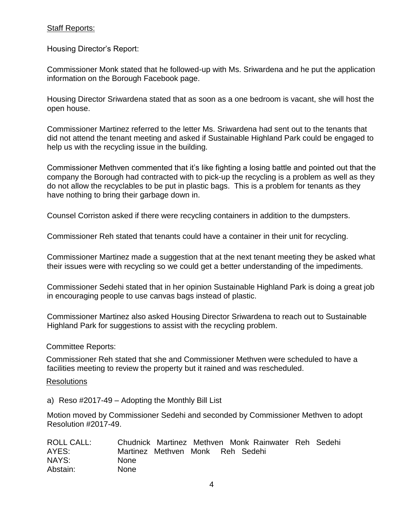# Staff Reports:

Housing Director's Report:

Commissioner Monk stated that he followed-up with Ms. Sriwardena and he put the application information on the Borough Facebook page.

Housing Director Sriwardena stated that as soon as a one bedroom is vacant, she will host the open house.

Commissioner Martinez referred to the letter Ms. Sriwardena had sent out to the tenants that did not attend the tenant meeting and asked if Sustainable Highland Park could be engaged to help us with the recycling issue in the building.

Commissioner Methven commented that it's like fighting a losing battle and pointed out that the company the Borough had contracted with to pick-up the recycling is a problem as well as they do not allow the recyclables to be put in plastic bags. This is a problem for tenants as they have nothing to bring their garbage down in.

Counsel Corriston asked if there were recycling containers in addition to the dumpsters.

Commissioner Reh stated that tenants could have a container in their unit for recycling.

Commissioner Martinez made a suggestion that at the next tenant meeting they be asked what their issues were with recycling so we could get a better understanding of the impediments.

Commissioner Sedehi stated that in her opinion Sustainable Highland Park is doing a great job in encouraging people to use canvas bags instead of plastic.

Commissioner Martinez also asked Housing Director Sriwardena to reach out to Sustainable Highland Park for suggestions to assist with the recycling problem.

Committee Reports:

Commissioner Reh stated that she and Commissioner Methven were scheduled to have a facilities meeting to review the property but it rained and was rescheduled.

#### Resolutions

a) Reso #2017-49 – Adopting the Monthly Bill List

Motion moved by Commissioner Sedehi and seconded by Commissioner Methven to adopt Resolution #2017-49.

| <b>ROLL CALL:</b> |                                  |  | Chudnick Martinez Methven Monk Rainwater Reh Sedehi |  |
|-------------------|----------------------------------|--|-----------------------------------------------------|--|
| AYES:             | Martinez Methven Monk Reh Sedehi |  |                                                     |  |
| NAYS:             | <b>None</b>                      |  |                                                     |  |
| Abstain:          | <b>None</b>                      |  |                                                     |  |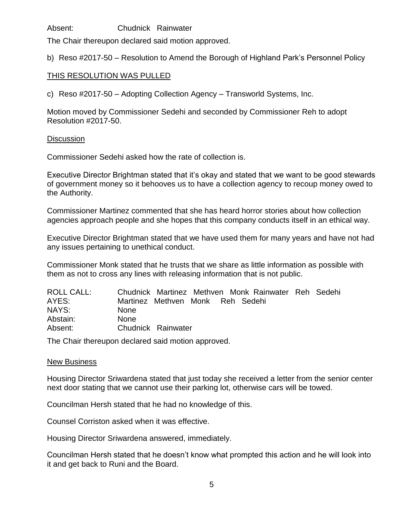Absent: Chudnick Rainwater

The Chair thereupon declared said motion approved.

b) Reso #2017-50 – Resolution to Amend the Borough of Highland Park's Personnel Policy

# THIS RESOLUTION WAS PULLED

c) Reso #2017-50 – Adopting Collection Agency – Transworld Systems, Inc.

Motion moved by Commissioner Sedehi and seconded by Commissioner Reh to adopt Resolution #2017-50.

## **Discussion**

Commissioner Sedehi asked how the rate of collection is.

Executive Director Brightman stated that it's okay and stated that we want to be good stewards of government money so it behooves us to have a collection agency to recoup money owed to the Authority.

Commissioner Martinez commented that she has heard horror stories about how collection agencies approach people and she hopes that this company conducts itself in an ethical way.

Executive Director Brightman stated that we have used them for many years and have not had any issues pertaining to unethical conduct.

Commissioner Monk stated that he trusts that we share as little information as possible with them as not to cross any lines with releasing information that is not public.

| ROLL CALL: |                                  |  | Chudnick Martinez Methven Monk Rainwater Reh Sedehi |  |
|------------|----------------------------------|--|-----------------------------------------------------|--|
| AYES:      | Martinez Methven Monk Reh Sedehi |  |                                                     |  |
| NAYS:      | <b>None</b>                      |  |                                                     |  |
| Abstain:   | <b>None</b>                      |  |                                                     |  |
| Absent:    | Chudnick Rainwater               |  |                                                     |  |

The Chair thereupon declared said motion approved.

#### New Business

Housing Director Sriwardena stated that just today she received a letter from the senior center next door stating that we cannot use their parking lot, otherwise cars will be towed.

Councilman Hersh stated that he had no knowledge of this.

Counsel Corriston asked when it was effective.

Housing Director Sriwardena answered, immediately.

Councilman Hersh stated that he doesn't know what prompted this action and he will look into it and get back to Runi and the Board.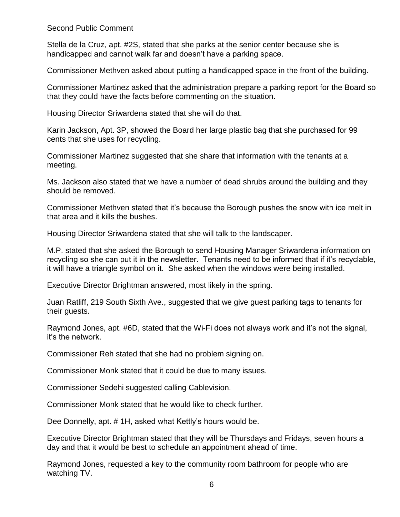# Second Public Comment

Stella de la Cruz, apt. #2S, stated that she parks at the senior center because she is handicapped and cannot walk far and doesn't have a parking space.

Commissioner Methven asked about putting a handicapped space in the front of the building.

Commissioner Martinez asked that the administration prepare a parking report for the Board so that they could have the facts before commenting on the situation.

Housing Director Sriwardena stated that she will do that.

Karin Jackson, Apt. 3P, showed the Board her large plastic bag that she purchased for 99 cents that she uses for recycling.

Commissioner Martinez suggested that she share that information with the tenants at a meeting.

Ms. Jackson also stated that we have a number of dead shrubs around the building and they should be removed.

Commissioner Methven stated that it's because the Borough pushes the snow with ice melt in that area and it kills the bushes.

Housing Director Sriwardena stated that she will talk to the landscaper.

M.P. stated that she asked the Borough to send Housing Manager Sriwardena information on recycling so she can put it in the newsletter. Tenants need to be informed that if it's recyclable, it will have a triangle symbol on it. She asked when the windows were being installed.

Executive Director Brightman answered, most likely in the spring.

Juan Ratliff, 219 South Sixth Ave., suggested that we give guest parking tags to tenants for their guests.

Raymond Jones, apt. #6D, stated that the Wi-Fi does not always work and it's not the signal, it's the network.

Commissioner Reh stated that she had no problem signing on.

Commissioner Monk stated that it could be due to many issues.

Commissioner Sedehi suggested calling Cablevision.

Commissioner Monk stated that he would like to check further.

Dee Donnelly, apt. # 1H, asked what Kettly's hours would be.

Executive Director Brightman stated that they will be Thursdays and Fridays, seven hours a day and that it would be best to schedule an appointment ahead of time.

Raymond Jones, requested a key to the community room bathroom for people who are watching TV.